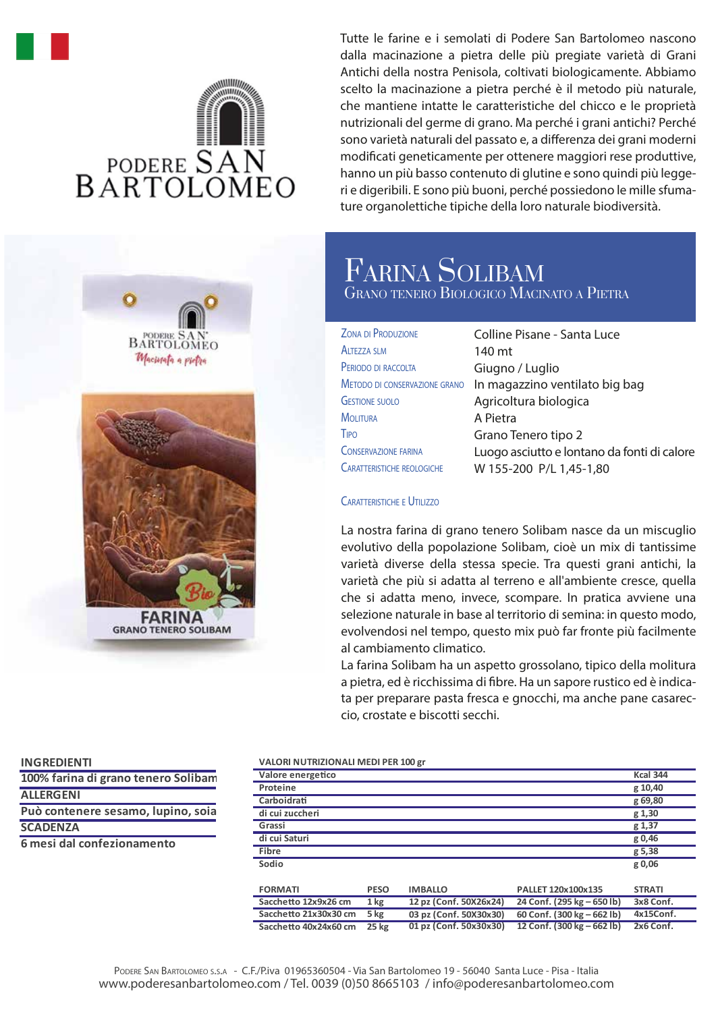# wwww **BARTOLOMEO**

**BARTOLOMEC** Macinata a pictra FARINA

**GRANO TENERO SOLIBAM** 

Tutte le farine e i semolati di Podere San Bartolomeo nascono dalla macinazione a pietra delle più pregiate varietà di Grani Antichi della nostra Penisola, coltivati biologicamente. Abbiamo scelto la macinazione a pietra perché è il metodo più naturale, che mantiene intatte le caratteristiche del chicco e le proprietà nutrizionali del germe di grano. Ma perché i grani antichi? Perché sono varietà naturali del passato e, a differenza dei grani moderni modificati geneticamente per ottenere maggiori rese produttive, hanno un più basso contenuto di glutine e sono quindi più leggeri e digeribili. E sono più buoni, perché possiedono le mille sfumature organolettiche tipiche della loro naturale biodiversità.

### FARINA SOLIBAM GRANO TENERO BIOLOGICO MACINATO A PIETRA

| <b>ZONA DI PRODUZIONE</b>         | <b>Colline Pis</b> |
|-----------------------------------|--------------------|
| <b>ALTEZZA SLM</b>                | 140 mt             |
| PERIODO DI RACCOLTA               | Giugno / l         |
| Metodo di conservazione grano     | In magazz          |
| <b>GESTIONE SUOLO</b>             | Agricoltur         |
| <b>MOLITURA</b>                   | A Pietra           |
| Tipo                              | Grano Ten          |
| <b>CONSERVAZIONE FARINA</b>       | Luogo asc          |
| <b>CARATTERISTICHE REOLOGICHE</b> | W 155-20           |

sane - Santa Luce Luglio zino ventilato big bag ra biologica ero tipo 2 iutto e lontano da fonti di calore W 155-200 P/L 1,45-1,80

#### CARATTERISTICHE E UTILIZZO

La nostra farina di grano tenero Solibam nasce da un miscuglio evolutivo della popolazione Solibam, cioè un mix di tantissime varietà diverse della stessa specie. Tra questi grani antichi, la varietà che più si adatta al terreno e all'ambiente cresce, quella che si adatta meno, invece, scompare. In pratica avviene una selezione naturale in base al territorio di semina: in questo modo, evolvendosi nel tempo, questo mix può far fronte più facilmente al cambiamento climatico.

La farina Solibam ha un aspetto grossolano, tipico della molitura a pietra, ed è ricchissima di fibre. Ha un sapore rustico ed è indicata per preparare pasta fresca e gnocchi, ma anche pane casareccio, crostate e biscotti secchi.

#### **INGREDIENTI**

**ALLERGENI Può contenere sesamo, lupino, soia SCADENZA 100% farina di grano tenero Solibam**

**6 mesi dal confezionamento**

#### **VALORI NUTRIZIONALI MEDI PER 100 gr**

| VALUNI NU INIZIUNALI IVIEDI FEN 100 KI |                 |                        |                            |                 |  |
|----------------------------------------|-----------------|------------------------|----------------------------|-----------------|--|
| Valore energetico                      |                 |                        |                            | <b>Kcal 344</b> |  |
| Proteine                               |                 |                        |                            | g 10,40         |  |
| Carboidrati                            |                 |                        |                            | g 69,80         |  |
| di cui zuccheri                        |                 |                        |                            | g 1,30          |  |
| Grassi                                 |                 |                        |                            | g 1,37          |  |
| di cui Saturi                          |                 |                        |                            | g 0,46          |  |
| Fibre                                  |                 |                        |                            | g 5,38          |  |
| Sodio                                  |                 |                        |                            | g 0,06          |  |
|                                        |                 |                        |                            |                 |  |
| <b>FORMATI</b>                         | <b>PESO</b>     | <b>IMBALLO</b>         | PALLET 120x100x135         | <b>STRATI</b>   |  |
| Sacchetto 12x9x26 cm                   | 1 <sub>kg</sub> | 12 pz (Conf. 50X26x24) | 24 Conf. (295 kg – 650 lb) | 3x8 Conf.       |  |
| Sacchetto 21x30x30 cm                  | 5 kg            | 03 pz (Conf. 50X30x30) | 60 Conf. (300 kg – 662 lb) | 4x15Conf.       |  |
| Sacchetto 40x24x60 cm                  | <b>25 kg</b>    | 01 pz (Conf. 50x30x30) | 12 Conf. (300 kg – 662 lb) | 2x6 Conf.       |  |